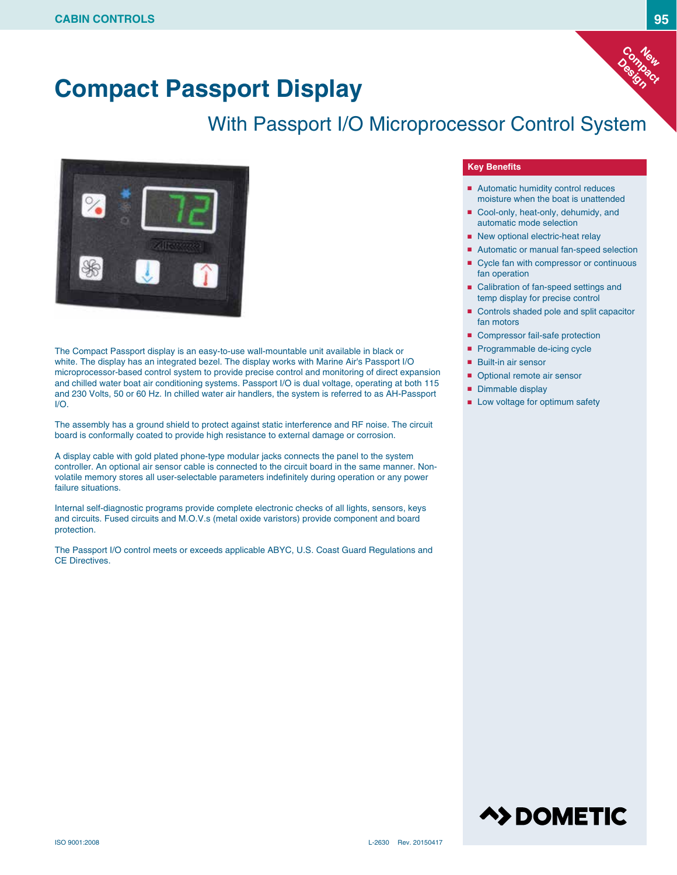

# **Compact Passport Display**

## With Passport I/O Microprocessor Control System



The Compact Passport display is an easy-to-use wall-mountable unit available in black or white. The display has an integrated bezel. The display works with Marine Air's Passport I/O microprocessor-based control system to provide precise control and monitoring of direct expansion and chilled water boat air conditioning systems. Passport I/O is dual voltage, operating at both 115 and 230 Volts, 50 or 60 Hz. In chilled water air handlers, the system is referred to as AH-Passport I/O.

The assembly has a ground shield to protect against static interference and RF noise. The circuit board is conformally coated to provide high resistance to external damage or corrosion.

A display cable with gold plated phone-type modular jacks connects the panel to the system controller. An optional air sensor cable is connected to the circuit board in the same manner. Nonvolatile memory stores all user-selectable parameters indefinitely during operation or any power failure situations.

Internal self-diagnostic programs provide complete electronic checks of all lights, sensors, keys and circuits. Fused circuits and M.O.V.s (metal oxide varistors) provide component and board protection.

The Passport I/O control meets or exceeds applicable ABYC, U.S. Coast Guard Regulations and CE Directives.

#### **Key Benefits**

- Automatic humidity control reduces moisture when the boat is unattended
- Cool-only, heat-only, dehumidy, and automatic mode selection
- New optional electric-heat relay
- Automatic or manual fan-speed selection
- Cycle fan with compressor or continuous fan operation
- Calibration of fan-speed settings and temp display for precise control
- Controls shaded pole and split capacitor fan motors
- Compressor fail-safe protection
- Programmable de-icing cycle
- Built-in air sensor
- Optional remote air sensor
- Dimmable display
- Low voltage for optimum safety